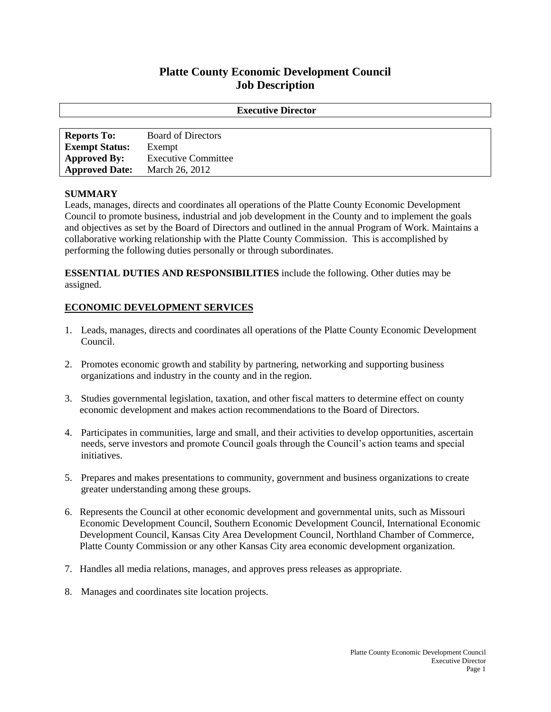# **Platte County Economic Development Council Job Description**

| <b>Executive Director</b> |                            |
|---------------------------|----------------------------|
|                           |                            |
| <b>Reports To:</b>        | <b>Board of Directors</b>  |
| <b>Exempt Status:</b>     | Exempt                     |
| <b>Approved By:</b>       | <b>Executive Committee</b> |
| <b>Approved Date:</b>     | March 26, 2012             |

#### **SUMMARY**

Leads, manages, directs and coordinates all operations of the Platte County Economic Development Council to promote business, industrial and job development in the County and to implement the goals and objectives as set by the Board of Directors and outlined in the annual Program of Work. Maintains a collaborative working relationship with the Platte County Commission. This is accomplished by performing the following duties personally or through subordinates.

**ESSENTIAL DUTIES AND RESPONSIBILITIES** include the following. Other duties may be assigned.

# **ECONOMIC DEVELOPMENT SERVICES**

- 1. Leads, manages, directs and coordinates all operations of the Platte County Economic Development Council.
- 2. Promotes economic growth and stability by partnering, networking and supporting business organizations and industry in the county and in the region.
- 3. Studies governmental legislation, taxation, and other fiscal matters to determine effect on county economic development and makes action recommendations to the Board of Directors.
- 4. Participates in communities, large and small, and their activities to develop opportunities, ascertain needs, serve investors and promote Council goals through the Council's action teams and special initiatives.
- 5. Prepares and makes presentations to community, government and business organizations to create greater understanding among these groups.
- 6. Represents the Council at other economic development and governmental units, such as Missouri Economic Development Council, Southern Economic Development Council, International Economic Development Council, Kansas City Area Development Council*,* Northland Chamber of Commerce, Platte County Commission or any other Kansas City area economic development organization.
- 7. Handles all media relations, manages*,* and approves press releases as appropriate.
- 8. Manages and coordinates site location projects*.*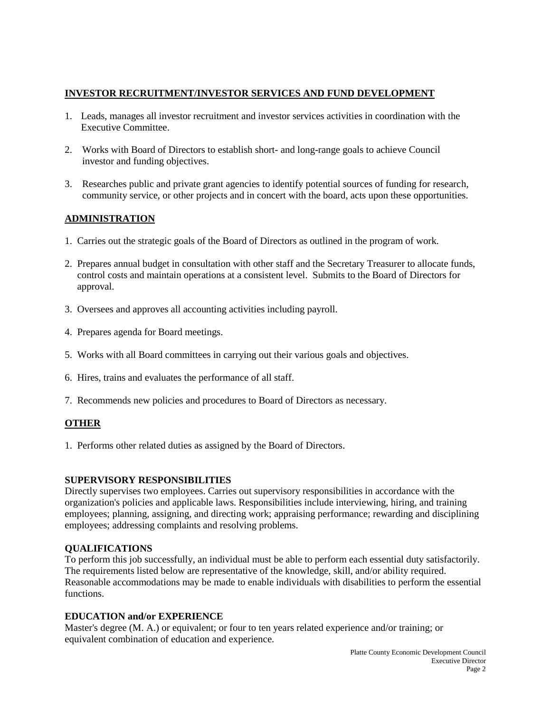# **INVESTOR RECRUITMENT/INVESTOR SERVICES AND FUND DEVELOPMENT**

- 1. Leads, manages all investor recruitment and investor services activities in coordination with the Executive Committee.
- 2. Works with Board of Directors to establish short- and long-range goals to achieve Council investor and funding objectives.
- 3. Researches public and private grant agencies to identify potential sources of funding for research, community service, or other projects and in concert with the board, acts upon these opportunities.

# **ADMINISTRATION**

- 1. Carries out the strategic goals of the Board of Directors as outlined in the program of work.
- 2. Prepares annual budget in consultation with other staff and the Secretary Treasurer to allocate funds, control costs and maintain operations at a consistent level. Submits to the Board of Directors for approval.
- 3. Oversees and approves all accounting activities including payroll.
- 4. Prepares agenda for Board meetings.
- 5. Works with all Board committees in carrying out their various goals and objectives.
- 6. Hires, trains and evaluates the performance of all staff.
- 7. Recommends new policies and procedures to Board of Directors as necessary.

# **OTHER**

1. Performs other related duties as assigned by the Board of Directors.

# **SUPERVISORY RESPONSIBILITIES**

Directly supervises two employees. Carries out supervisory responsibilities in accordance with the organization's policies and applicable laws. Responsibilities include interviewing, hiring, and training employees; planning, assigning, and directing work; appraising performance; rewarding and disciplining employees; addressing complaints and resolving problems.

# **QUALIFICATIONS**

To perform this job successfully, an individual must be able to perform each essential duty satisfactorily. The requirements listed below are representative of the knowledge, skill, and/or ability required. Reasonable accommodations may be made to enable individuals with disabilities to perform the essential functions.

# **EDUCATION and/or EXPERIENCE**

Master's degree (M. A.) or equivalent; or four to ten years related experience and/or training; or equivalent combination of education and experience.